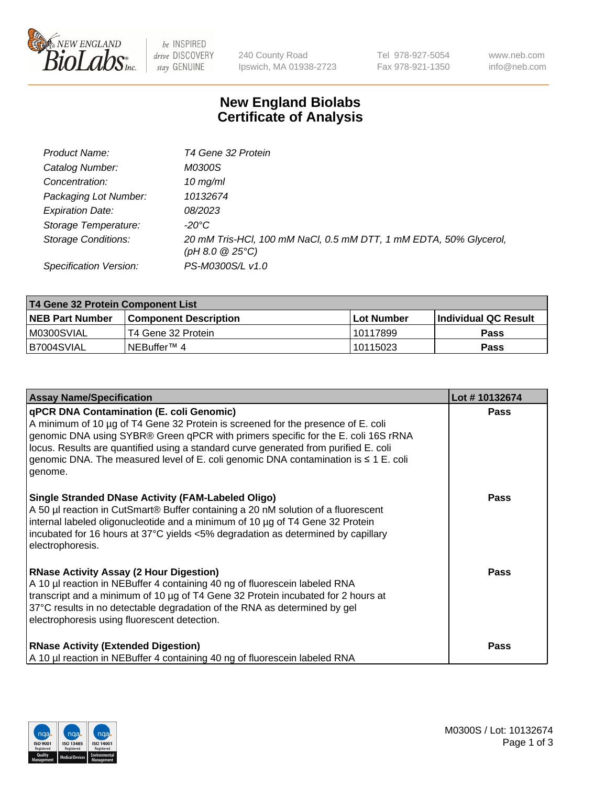

 $be$  INSPIRED drive DISCOVERY stay GENUINE

240 County Road Ipswich, MA 01938-2723 Tel 978-927-5054 Fax 978-921-1350 www.neb.com info@neb.com

## **New England Biolabs Certificate of Analysis**

| Product Name:              | T4 Gene 32 Protein                                                                     |
|----------------------------|----------------------------------------------------------------------------------------|
| Catalog Number:            | <i>M0300S</i>                                                                          |
| Concentration:             | $10$ mg/ml                                                                             |
| Packaging Lot Number:      | 10132674                                                                               |
| <b>Expiration Date:</b>    | <i>08/2023</i>                                                                         |
| Storage Temperature:       | -20°C                                                                                  |
| <b>Storage Conditions:</b> | 20 mM Tris-HCl, 100 mM NaCl, 0.5 mM DTT, 1 mM EDTA, 50% Glycerol,<br>(pH 8.0 $@25°C$ ) |
| Specification Version:     | PS-M0300S/L v1.0                                                                       |

| T4 Gene 32 Protein Component List |                        |             |                       |  |  |
|-----------------------------------|------------------------|-------------|-----------------------|--|--|
| <b>NEB Part Number</b>            | Component Description_ | ⊺Lot Number | ∣Individual QC Result |  |  |
| IM0300SVIAL                       | T4 Gene 32 Protein     | 10117899    | <b>Pass</b>           |  |  |
| B7004SVIAL                        | INEBuffer™ 4           | 10115023    | Pass                  |  |  |

| <b>Assay Name/Specification</b>                                                                                                                                                                                                                                                                                                                                                                                    | Lot #10132674 |
|--------------------------------------------------------------------------------------------------------------------------------------------------------------------------------------------------------------------------------------------------------------------------------------------------------------------------------------------------------------------------------------------------------------------|---------------|
| <b>qPCR DNA Contamination (E. coli Genomic)</b><br>A minimum of 10 µg of T4 Gene 32 Protein is screened for the presence of E. coli<br>genomic DNA using SYBR® Green qPCR with primers specific for the E. coli 16S rRNA<br>locus. Results are quantified using a standard curve generated from purified E. coli<br>genomic DNA. The measured level of E. coli genomic DNA contamination is ≤ 1 E. coli<br>genome. | <b>Pass</b>   |
| Single Stranded DNase Activity (FAM-Labeled Oligo)<br>A 50 µl reaction in CutSmart® Buffer containing a 20 nM solution of a fluorescent<br>internal labeled oligonucleotide and a minimum of 10 µg of T4 Gene 32 Protein<br>incubated for 16 hours at 37°C yields <5% degradation as determined by capillary<br>electrophoresis.                                                                                   | <b>Pass</b>   |
| <b>RNase Activity Assay (2 Hour Digestion)</b><br>A 10 µl reaction in NEBuffer 4 containing 40 ng of fluorescein labeled RNA<br>transcript and a minimum of 10 µg of T4 Gene 32 Protein incubated for 2 hours at<br>37°C results in no detectable degradation of the RNA as determined by gel<br>electrophoresis using fluorescent detection.                                                                      | <b>Pass</b>   |
| <b>RNase Activity (Extended Digestion)</b><br>A 10 µl reaction in NEBuffer 4 containing 40 ng of fluorescein labeled RNA                                                                                                                                                                                                                                                                                           | <b>Pass</b>   |

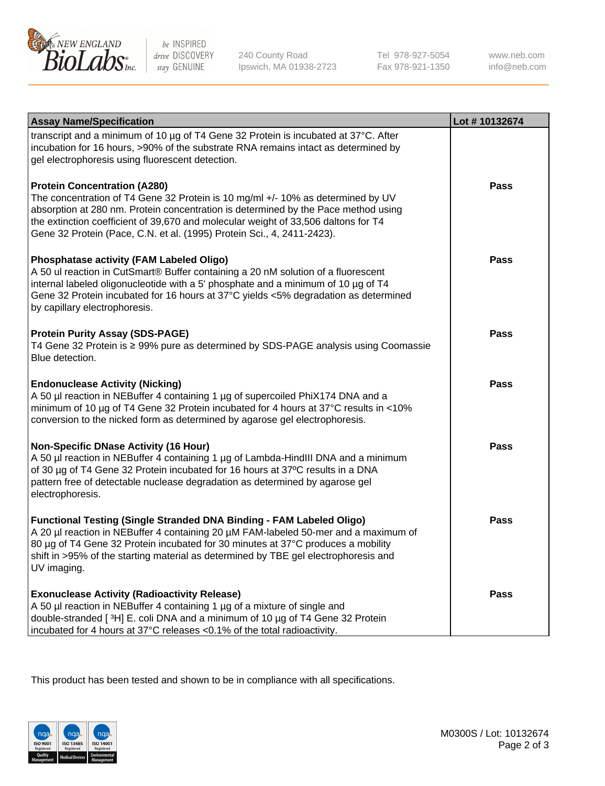

be INSPIRED drive DISCOVERY stay GENUINE

240 County Road Ipswich, MA 01938-2723 Tel 978-927-5054 Fax 978-921-1350 www.neb.com info@neb.com

| <b>Assay Name/Specification</b>                                                                                                                                                                                                                                                                                                                                              | Lot #10132674 |
|------------------------------------------------------------------------------------------------------------------------------------------------------------------------------------------------------------------------------------------------------------------------------------------------------------------------------------------------------------------------------|---------------|
| transcript and a minimum of 10 µg of T4 Gene 32 Protein is incubated at 37°C. After<br>incubation for 16 hours, >90% of the substrate RNA remains intact as determined by<br>gel electrophoresis using fluorescent detection.                                                                                                                                                |               |
| <b>Protein Concentration (A280)</b><br>The concentration of T4 Gene 32 Protein is 10 mg/ml +/- 10% as determined by UV<br>absorption at 280 nm. Protein concentration is determined by the Pace method using<br>the extinction coefficient of 39,670 and molecular weight of 33,506 daltons for T4<br>Gene 32 Protein (Pace, C.N. et al. (1995) Protein Sci., 4, 2411-2423). | Pass          |
| <b>Phosphatase activity (FAM Labeled Oligo)</b><br>A 50 ul reaction in CutSmart® Buffer containing a 20 nM solution of a fluorescent<br>internal labeled oligonucleotide with a 5' phosphate and a minimum of 10 $\mu$ g of T4<br>Gene 32 Protein incubated for 16 hours at 37°C yields <5% degradation as determined<br>by capillary electrophoresis.                       | Pass          |
| <b>Protein Purity Assay (SDS-PAGE)</b><br>T4 Gene 32 Protein is ≥ 99% pure as determined by SDS-PAGE analysis using Coomassie<br>Blue detection.                                                                                                                                                                                                                             | <b>Pass</b>   |
| <b>Endonuclease Activity (Nicking)</b><br>A 50 µl reaction in NEBuffer 4 containing 1 µg of supercoiled PhiX174 DNA and a<br>minimum of 10 µg of T4 Gene 32 Protein incubated for 4 hours at 37°C results in <10%<br>conversion to the nicked form as determined by agarose gel electrophoresis.                                                                             | Pass          |
| <b>Non-Specific DNase Activity (16 Hour)</b><br>A 50 µl reaction in NEBuffer 4 containing 1 µg of Lambda-HindIII DNA and a minimum<br>of 30 µg of T4 Gene 32 Protein incubated for 16 hours at 37°C results in a DNA<br>pattern free of detectable nuclease degradation as determined by agarose gel<br>electrophoresis.                                                     | Pass          |
| <b>Functional Testing (Single Stranded DNA Binding - FAM Labeled Oligo)</b><br>A 20 µl reaction in NEBuffer 4 containing 20 µM FAM-labeled 50-mer and a maximum of<br>80 µg of T4 Gene 32 Protein incubated for 30 minutes at 37°C produces a mobility<br>shift in >95% of the starting material as determined by TBE gel electrophoresis and<br>UV imaging.                 | <b>Pass</b>   |
| <b>Exonuclease Activity (Radioactivity Release)</b><br>A 50 µl reaction in NEBuffer 4 containing 1 µg of a mixture of single and<br>double-stranded [3H] E. coli DNA and a minimum of 10 µg of T4 Gene 32 Protein<br>incubated for 4 hours at 37°C releases <0.1% of the total radioactivity.                                                                                | <b>Pass</b>   |

This product has been tested and shown to be in compliance with all specifications.